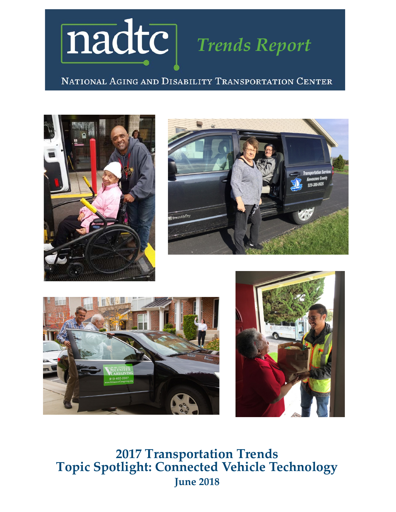

NATIONAL AGING AND DISABILITY TRANSPORTATION CENTER









**2017 Transportation Trends Topic Spotlight: Connected Vehicle Technology June 2018**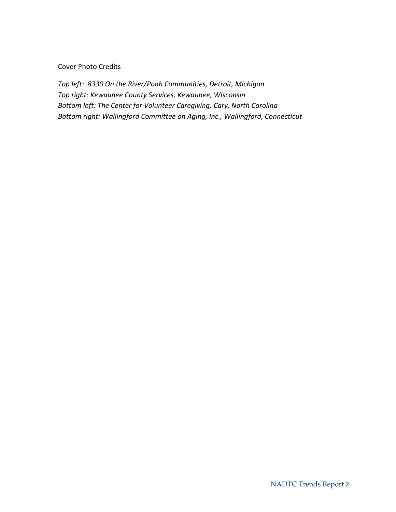#### Cover Photo Credits

*Top left: 8330 On the River/Poah Communities, Detroit, Michigan Top right: Kewaunee County Services, Kewaunee, Wisconsin Bottom left: The Center for Volunteer Caregiving, Cary, North Carolina Bottom right: Wallingford Committee on Aging, Inc., Wallingford, Connecticut*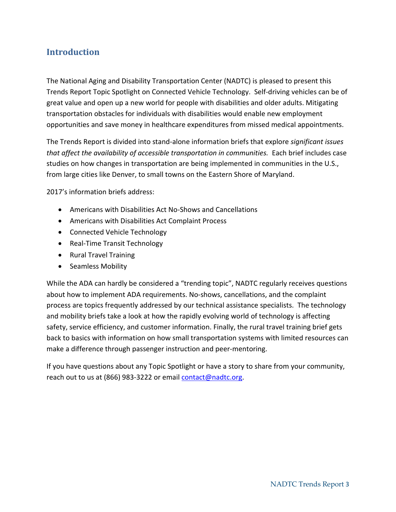## **Introduction**

The National Aging and Disability Transportation Center (NADTC) is pleased to present this Trends Report Topic Spotlight on Connected Vehicle Technology. Self-driving vehicles can be of great value and open up a new world for people with disabilities and older adults. Mitigating transportation obstacles for individuals with disabilities would enable new employment opportunities and save money in healthcare expenditures from missed medical appointments.

The Trends Report is divided into stand-alone information briefs that explore *significant issues that affect the availability of accessible transportation in communities.* Each brief includes case studies on how changes in transportation are being implemented in communities in the U.S., from large cities like Denver, to small towns on the Eastern Shore of Maryland.

2017's information briefs address:

- Americans with Disabilities Act No-Shows and Cancellations
- Americans with Disabilities Act Complaint Process
- Connected Vehicle Technology
- Real-Time Transit Technology
- Rural Travel Training
- Seamless Mobility

While the ADA can hardly be considered a "trending topic", NADTC regularly receives questions about how to implement ADA requirements. No-shows, cancellations, and the complaint process are topics frequently addressed by our technical assistance specialists. The technology and mobility briefs take a look at how the rapidly evolving world of technology is affecting safety, service efficiency, and customer information. Finally, the rural travel training brief gets back to basics with information on how small transportation systems with limited resources can make a difference through passenger instruction and peer-mentoring.

If you have questions about any Topic Spotlight or have a story to share from your community, reach out to us at (866) 983-3222 or emai[l contact@nadtc.org.](mailto:contact@nadtc.org)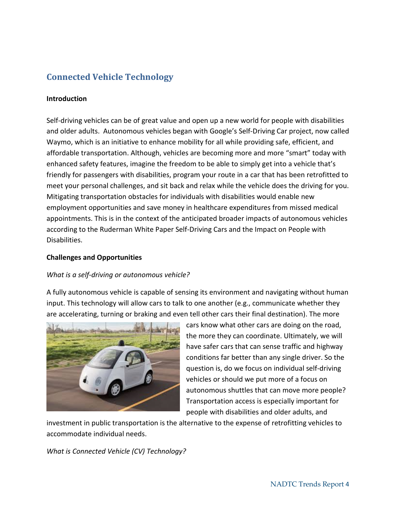# **Connected Vehicle Technology**

### **Introduction**

Self-driving vehicles can be of great value and open up a new world for people with disabilities and older adults. Autonomous vehicles began with Google's Self-Driving Car project, now called Waymo, which is an initiative to enhance mobility for all while providing safe, efficient, and affordable transportation. Although, vehicles are becoming more and more "smart" today with enhanced safety features, imagine the freedom to be able to simply get into a vehicle that's friendly for passengers with disabilities, program your route in a car that has been retrofitted to meet your personal challenges, and sit back and relax while the vehicle does the driving for you. Mitigating transportation obstacles for individuals with disabilities would enable new employment opportunities and save money in healthcare expenditures from missed medical appointments. This is in the context of the anticipated broader impacts of autonomous vehicles according to the Ruderman White Paper Self-Driving Cars and the Impact on People with Disabilities.

### **Challenges and Opportunities**

#### *What is a self-driving or autonomous vehicle?*

A fully autonomous vehicle is capable of sensing its environment and navigating without human input. This technology will allow cars to talk to one another (e.g., communicate whether they are accelerating, turning or braking and even tell other cars their final destination). The more



cars know what other cars are doing on the road, the more they can coordinate. Ultimately, we will have safer cars that can sense traffic and highway conditions far better than any single driver. So the question is, do we focus on individual self-driving vehicles or should we put more of a focus on autonomous shuttles that can move more people? Transportation access is especially important for people with disabilities and older adults, and

investment in public transportation is the alternative to the expense of retrofitting vehicles to accommodate individual needs.

*What is Connected Vehicle (CV) Technology?*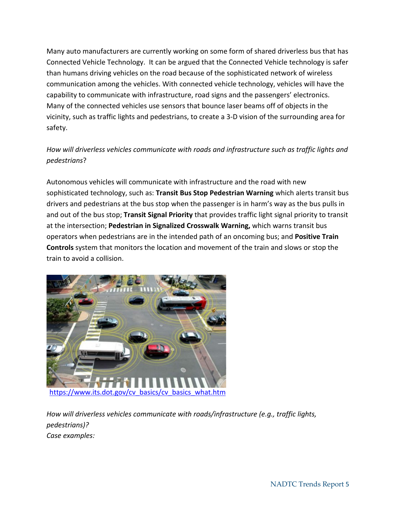Many auto manufacturers are currently working on some form of shared driverless bus that has Connected Vehicle Technology. It can be argued that the Connected Vehicle technology is safer than humans driving vehicles on the road because of the sophisticated network of wireless communication among the vehicles. With connected vehicle technology, vehicles will have the capability to communicate with infrastructure, road signs and the passengers' electronics. Many of the connected vehicles use sensors that bounce laser beams off of objects in the vicinity, such as traffic lights and pedestrians, to create a 3-D vision of the surrounding area for safety.

## *How will driverless vehicles communicate with roads and infrastructure such as traffic lights and pedestrians*?

Autonomous vehicles will communicate with infrastructure and the road with new sophisticated technology, such as: **Transit Bus Stop Pedestrian Warning** which alerts transit bus drivers and pedestrians at the bus stop when the passenger is in harm's way as the bus pulls in and out of the bus stop; **Transit Signal Priority** that provides traffic light signal priority to transit at the intersection; **Pedestrian in Signalized Crosswalk Warning,** which warns transit bus operators when pedestrians are in the intended path of an oncoming bus; and **Positive Train Controls** system that monitors the location and movement of the train and slows or stop the train to avoid a collision.



*How will driverless vehicles communicate with roads/infrastructure (e.g., traffic lights, pedestrians)? Case examples:*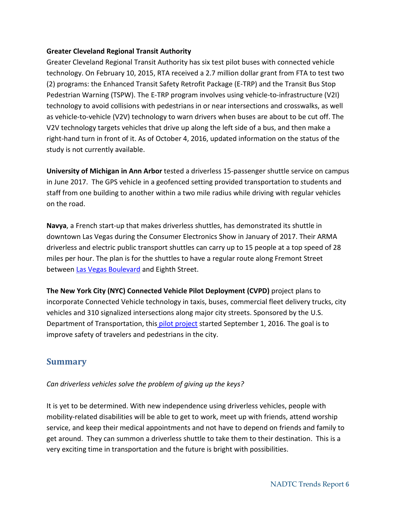### **Greater Cleveland Regional Transit Authority**

Greater Cleveland Regional Transit Authority has six test pilot buses with connected vehicle technology. On February 10, 2015, RTA received a 2.7 million dollar grant from FTA to test two (2) programs: the Enhanced Transit Safety Retrofit Package (E-TRP) and the Transit Bus Stop Pedestrian Warning (TSPW). The E-TRP program involves using vehicle-to-infrastructure (V2I) technology to avoid collisions with pedestrians in or near intersections and crosswalks, as well as vehicle-to-vehicle (V2V) technology to warn drivers when buses are about to be cut off. The V2V technology targets vehicles that drive up along the left side of a bus, and then make a right-hand turn in front of it. As of October 4, 2016, updated information on the status of the study is not currently available.

**University of Michigan in Ann Arbor** tested a driverless 15-passenger shuttle service on campus in June 2017. The GPS vehicle in a geofenced setting provided transportation to students and staff from one building to another within a two mile radius while driving with regular vehicles on the road.

**Navya**, a French start-up that makes driverless shuttles, has demonstrated its shuttle in downtown Las Vegas during the Consumer Electronics Show in January of 2017. Their ARMA driverless and electric public transport shuttles can carry up to 15 people at a top speed of 28 miles per hour. The plan is for the shuttles to have a regular route along Fremont Street between [Las Vegas Boulevard](https://techcrunch.com/2017/01/11/las-vegas-launches-the-first-electric-autonomous-shuttle-on-u-s-public-roads/) and Eighth Street.

**The New York City (NYC) Connected Vehicle Pilot Deployment (CVPD)** project plans to incorporate Connected Vehicle technology in taxis, buses, commercial fleet delivery trucks, city vehicles and 310 signalized intersections along major city streets. Sponsored by the U.S. Department of Transportation, this [pilot project](https://www.its.dot.gov/pilots/pilots_nycdot.htm) started September 1, 2016. The goal is to improve safety of travelers and pedestrians in the city.

## **Summary**

*Can driverless vehicles solve the problem of giving up the keys?*

It is yet to be determined. With new independence using driverless vehicles, people with mobility-related disabilities will be able to get to work, meet up with friends, attend worship service, and keep their medical appointments and not have to depend on friends and family to get around. They can summon a driverless shuttle to take them to their destination. This is a very exciting time in transportation and the future is bright with possibilities.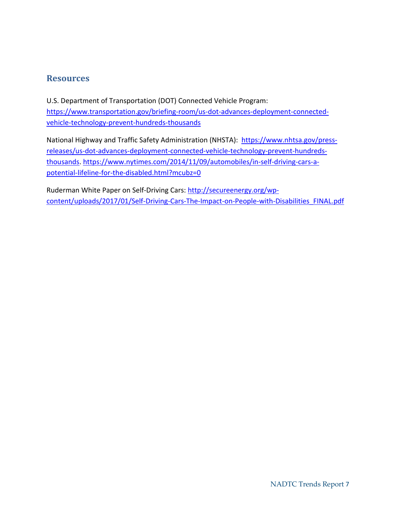### **Resources**

U.S. Department of Transportation (DOT) Connected Vehicle Program: [https://www.transportation.gov/briefing-room/us-dot-advances-deployment-connected](https://www.transportation.gov/briefing-room/us-dot-advances-deployment-connected-vehicle-technology-prevent-hundreds-thousands)[vehicle-technology-prevent-hundreds-thousands](https://www.transportation.gov/briefing-room/us-dot-advances-deployment-connected-vehicle-technology-prevent-hundreds-thousands) 

National Highway and Traffic Safety Administration (NHSTA): [https://www.nhtsa.gov/press](https://www.nhtsa.gov/press-releases/us-dot-advances-deployment-connected-vehicle-technology-prevent-hundreds-thousands)[releases/us-dot-advances-deployment-connected-vehicle-technology-prevent-hundreds](https://www.nhtsa.gov/press-releases/us-dot-advances-deployment-connected-vehicle-technology-prevent-hundreds-thousands)[thousands.](https://www.nhtsa.gov/press-releases/us-dot-advances-deployment-connected-vehicle-technology-prevent-hundreds-thousands) [https://www.nytimes.com/2014/11/09/automobiles/in-self-driving-cars-a](https://www.nytimes.com/2014/11/09/automobiles/in-self-driving-cars-a-potential-lifeline-for-the-disabled.html?mcubz=0)[potential-lifeline-for-the-disabled.html?mcubz=0](https://www.nytimes.com/2014/11/09/automobiles/in-self-driving-cars-a-potential-lifeline-for-the-disabled.html?mcubz=0)

Ruderman White Paper on Self-Driving Cars: [http://secureenergy.org/wp](http://secureenergy.org/wp-content/uploads/2017/01/Self-Driving-Cars-The-Impact-on-People-with-Disabilities_FINAL.pdf)[content/uploads/2017/01/Self-Driving-Cars-The-Impact-on-People-with-Disabilities\\_FINAL.pdf](http://secureenergy.org/wp-content/uploads/2017/01/Self-Driving-Cars-The-Impact-on-People-with-Disabilities_FINAL.pdf)